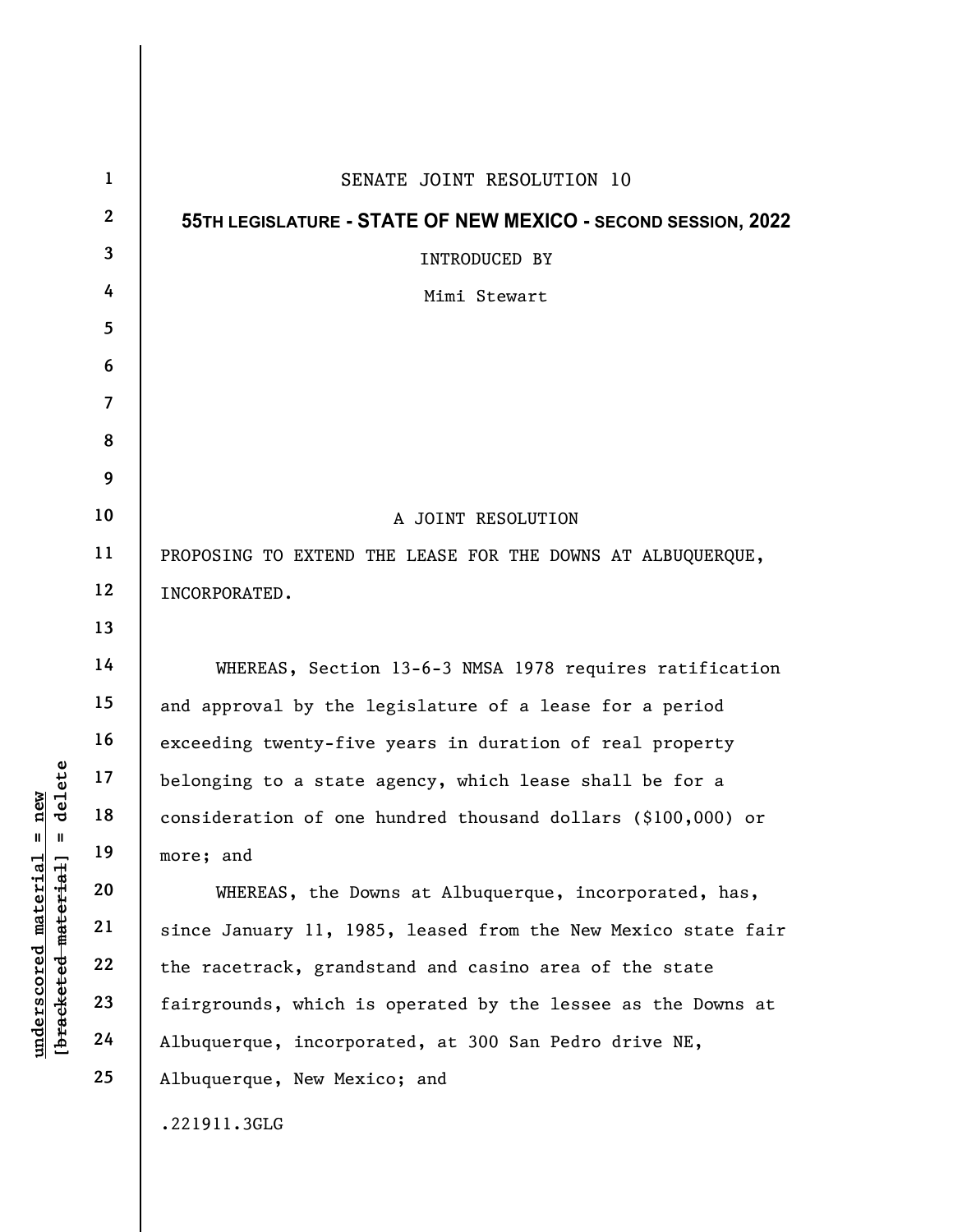|                                                                                           | $\mathbf{1}$   | SENATE JOINT RESOLUTION 10                                    |
|-------------------------------------------------------------------------------------------|----------------|---------------------------------------------------------------|
|                                                                                           | $\mathbf{2}$   | 55TH LEGISLATURE - STATE OF NEW MEXICO - SECOND SESSION, 2022 |
|                                                                                           | 3              | INTRODUCED BY                                                 |
|                                                                                           | 4              | Mimi Stewart                                                  |
|                                                                                           | 5              |                                                               |
|                                                                                           | 6              |                                                               |
|                                                                                           | $\overline{7}$ |                                                               |
|                                                                                           | 8              |                                                               |
|                                                                                           | 9              |                                                               |
|                                                                                           | 10             | A JOINT RESOLUTION                                            |
|                                                                                           | 11             | PROPOSING TO EXTEND THE LEASE FOR THE DOWNS AT ALBUQUERQUE,   |
| delete<br>new<br>$\mathbf{u}$<br>$\mathbf{I}$<br>$\mathtt{match}$<br>[bracketed material] | 12             | INCORPORATED.                                                 |
|                                                                                           | 13             |                                                               |
|                                                                                           | 14             | WHEREAS, Section 13-6-3 NMSA 1978 requires ratification       |
|                                                                                           | 15             | and approval by the legislature of a lease for a period       |
|                                                                                           | 16             | exceeding twenty-five years in duration of real property      |
|                                                                                           | 17             | belonging to a state agency, which lease shall be for a       |
|                                                                                           | 18             | consideration of one hundred thousand dollars (\$100,000) or  |
|                                                                                           | 19             | more; and                                                     |
|                                                                                           | 20             | WHEREAS, the Downs at Albuquerque, incorporated, has,         |
|                                                                                           | 21             | since January 11, 1985, leased from the New Mexico state fair |
|                                                                                           | 22             | the racetrack, grandstand and casino area of the state        |
| underscored                                                                               | 23             | fairgrounds, which is operated by the lessee as the Downs at  |
|                                                                                           | 24             | Albuquerque, incorporated, at 300 San Pedro drive NE,         |
|                                                                                           | 25             | Albuquerque, New Mexico; and                                  |
|                                                                                           |                | .221911.3GLG                                                  |
|                                                                                           |                |                                                               |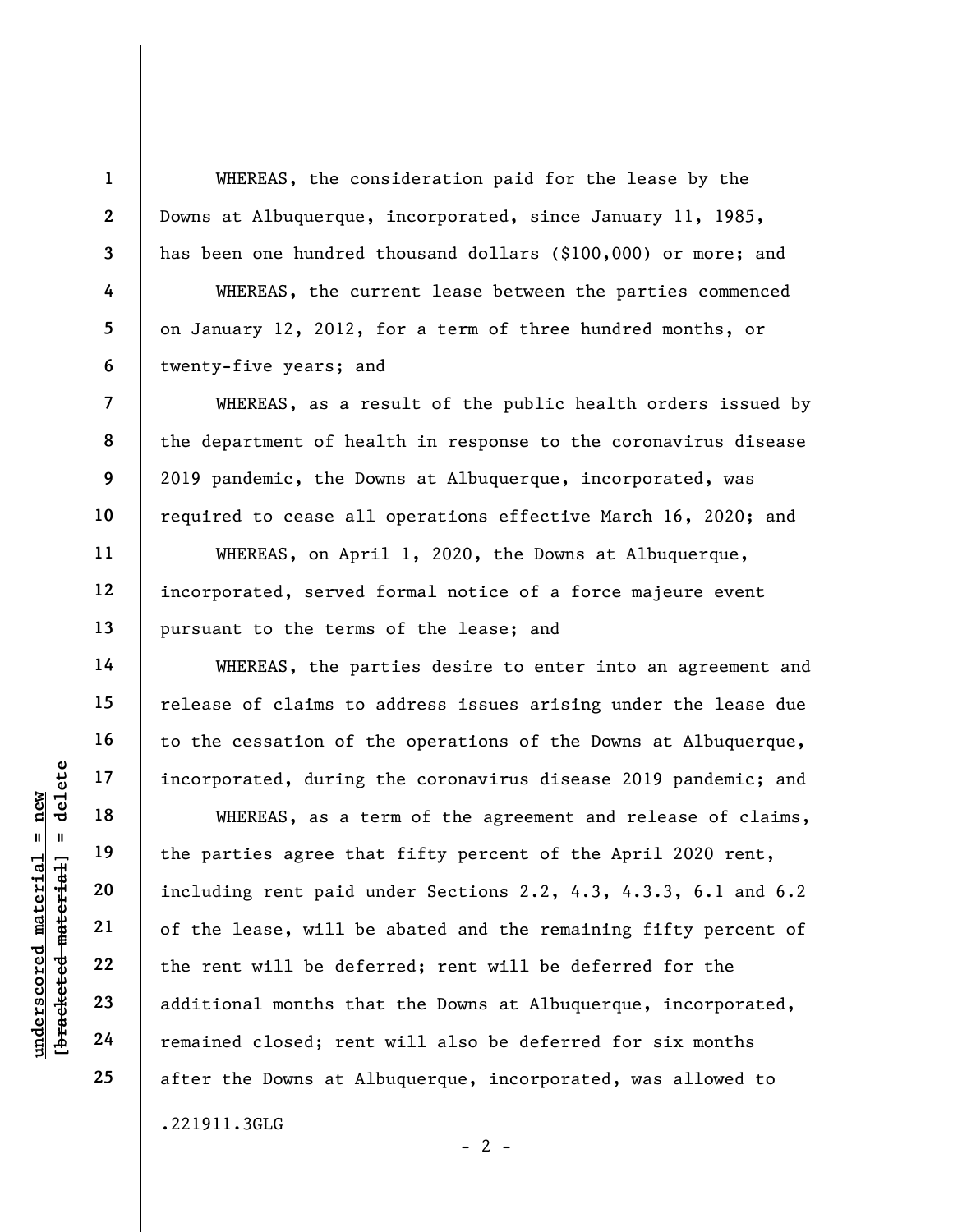WHEREAS, the consideration paid for the lease by the Downs at Albuquerque, incorporated, since January 11, 1985, has been one hundred thousand dollars (\$100,000) or more; and WHEREAS, the current lease between the parties commenced on January 12, 2012, for a term of three hundred months, or

twenty-five years; and

1

2

3

4

5

6

7

8

9

10

11

12

13

14

15

16

17

18

19

20

21

22

23

24

25

WHEREAS, as a result of the public health orders issued by the department of health in response to the coronavirus disease 2019 pandemic, the Downs at Albuquerque, incorporated, was required to cease all operations effective March 16, 2020; and

WHEREAS, on April 1, 2020, the Downs at Albuquerque, incorporated, served formal notice of a force majeure event pursuant to the terms of the lease; and

WHEREAS, the parties desire to enter into an agreement and release of claims to address issues arising under the lease due to the cessation of the operations of the Downs at Albuquerque, incorporated, during the coronavirus disease 2019 pandemic; and

under 17<br>
= 18<br>
= 18<br>
= 19<br>
= 19<br>
= 19<br>
= 19<br>
= 19<br>
= 19<br>
= 19<br>
= 19<br>
= 19<br>
= 19<br>
= 19<br>
= 19<br>
= 19<br>
= 10<br>
= 10<br>
= 10<br>
= 10<br>
of the lease, will be<br>
defined and including rent paid u<br>
of the lease, will be<br>
defined and inclu WHEREAS, as a term of the agreement and release of claims, the parties agree that fifty percent of the April 2020 rent, including rent paid under Sections 2.2, 4.3, 4.3.3, 6.1 and 6.2 of the lease, will be abated and the remaining fifty percent of the rent will be deferred; rent will be deferred for the additional months that the Downs at Albuquerque, incorporated, remained closed; rent will also be deferred for six months after the Downs at Albuquerque, incorporated, was allowed to .221911.3GLG

 $- 2 -$